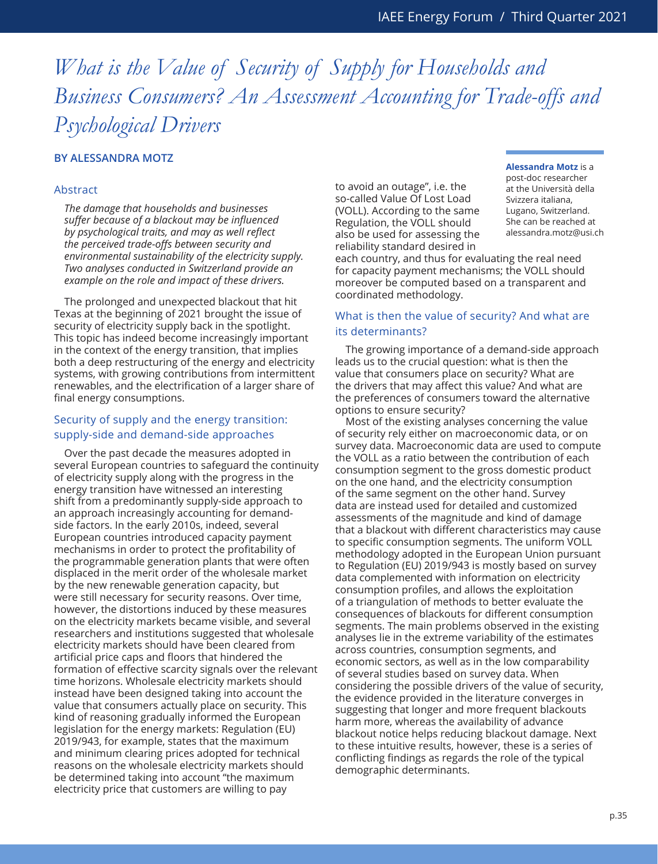# *What is the Value of Security of Supply for Households and Business Consumers? An Assessment Accounting for Trade-offs and Psychological Drivers*

## **BY ALESSANDRA MOTZ**

#### Abstract

*The damage that households and businesses suffer because of a blackout may be influenced by psychological traits, and may as well reflect the perceived trade-offs between security and environmental sustainability of the electricity supply. Two analyses conducted in Switzerland provide an example on the role and impact of these drivers.*

The prolonged and unexpected blackout that hit Texas at the beginning of 2021 brought the issue of security of electricity supply back in the spotlight. This topic has indeed become increasingly important in the context of the energy transition, that implies both a deep restructuring of the energy and electricity systems, with growing contributions from intermittent renewables, and the electrification of a larger share of final energy consumptions.

### Security of supply and the energy transition: supply-side and demand-side approaches

Over the past decade the measures adopted in several European countries to safeguard the continuity of electricity supply along with the progress in the energy transition have witnessed an interesting shift from a predominantly supply-side approach to an approach increasingly accounting for demandside factors. In the early 2010s, indeed, several European countries introduced capacity payment mechanisms in order to protect the profitability of the programmable generation plants that were often displaced in the merit order of the wholesale market by the new renewable generation capacity, but were still necessary for security reasons. Over time, however, the distortions induced by these measures on the electricity markets became visible, and several researchers and institutions suggested that wholesale electricity markets should have been cleared from artificial price caps and floors that hindered the formation of effective scarcity signals over the relevant time horizons. Wholesale electricity markets should instead have been designed taking into account the value that consumers actually place on security. This kind of reasoning gradually informed the European legislation for the energy markets: Regulation (EU) 2019/943, for example, states that the maximum and minimum clearing prices adopted for technical reasons on the wholesale electricity markets should be determined taking into account "the maximum electricity price that customers are willing to pay

to avoid an outage", i.e. the so-called Value Of Lost Load (VOLL). According to the same Regulation, the VOLL should also be used for assessing the reliability standard desired in

#### **Alessandra Motz** is a

post-doc researcher at the Università della Svizzera italiana, Lugano, Switzerland. She can be reached at alessandra.motz@usi.ch

each country, and thus for evaluating the real need for capacity payment mechanisms; the VOLL should moreover be computed based on a transparent and coordinated methodology.

### What is then the value of security? And what are its determinants?

The growing importance of a demand-side approach leads us to the crucial question: what is then the value that consumers place on security? What are the drivers that may affect this value? And what are the preferences of consumers toward the alternative options to ensure security?

Most of the existing analyses concerning the value of security rely either on macroeconomic data, or on survey data. Macroeconomic data are used to compute the VOLL as a ratio between the contribution of each consumption segment to the gross domestic product on the one hand, and the electricity consumption of the same segment on the other hand. Survey data are instead used for detailed and customized assessments of the magnitude and kind of damage that a blackout with different characteristics may cause to specific consumption segments. The uniform VOLL methodology adopted in the European Union pursuant to Regulation (EU) 2019/943 is mostly based on survey data complemented with information on electricity consumption profiles, and allows the exploitation of a triangulation of methods to better evaluate the consequences of blackouts for different consumption segments. The main problems observed in the existing analyses lie in the extreme variability of the estimates across countries, consumption segments, and economic sectors, as well as in the low comparability of several studies based on survey data. When considering the possible drivers of the value of security, the evidence provided in the literature converges in suggesting that longer and more frequent blackouts harm more, whereas the availability of advance blackout notice helps reducing blackout damage. Next to these intuitive results, however, these is a series of conflicting findings as regards the role of the typical demographic determinants.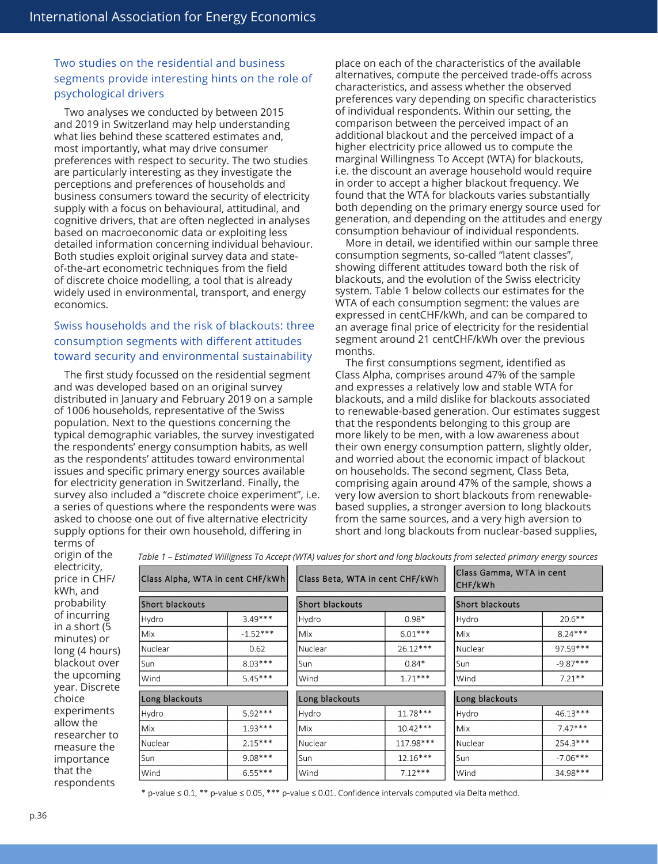# Two studies on the residential and business segments provide interesting hints on the role of psychological drivers

Two analyses we conducted by between 2015 and 2019 in Switzerland may help understanding what lies behind these scattered estimates and, most importantly, what may drive consumer preferences with respect to security. The two studies are particularly interesting as they investigate the perceptions and preferences of households and business consumers toward the security of electricity supply with a focus on behavioural, attitudinal, and cognitive drivers, that are often neglected in analyses based on macroeconomic data or exploiting less detailed information concerning individual behaviour. Both studies exploit original survey data and stateof-the-art econometric techniques from the field of discrete choice modelling, a tool that is already widely used in environmental, transport, and energy economics.

# Swiss households and the risk of blackouts: three consumption segments with different attitudes toward security and environmental sustainability

The first study focussed on the residential segment and was developed based on an original survey distributed in January and February 2019 on a sample of 1006 households, representative of the Swiss population. Next to the questions concerning the typical demographic variables, the survey investigated the respondents' energy consumption habits, as well as the respondents' attitudes toward environmental issues and specific primary energy sources available for electricity generation in Switzerland. Finally, the survey also included a "discrete choice experiment", i.e. a series of questions where the respondents were was asked to choose one out of five alternative electricity supply options for their own household, differing in

place on each of the characteristics of the available alternatives, compute the perceived trade-offs across characteristics, and assess whether the observed preferences vary depending on specific characteristics of individual respondents. Within our setting, the comparison between the perceived impact of an additional blackout and the perceived impact of a higher electricity price allowed us to compute the marginal Willingness To Accept (WTA) for blackouts, i.e. the discount an average household would require in order to accept a higher blackout frequency. We found that the WTA for blackouts varies substantially both depending on the primary energy source used for generation, and depending on the attitudes and energy consumption behaviour of individual respondents.

More in detail, we identified within our sample three consumption segments, so-called "latent classes", showing different attitudes toward both the risk of blackouts, and the evolution of the Swiss electricity system. Table 1 below collects our estimates for the WTA of each consumption segment: the values are expressed in centCHF/kWh, and can be compared to an average final price of electricity for the residential segment around 21 centCHF/kWh over the previous months.

The first consumptions segment, identified as Class Alpha, comprises around 47% of the sample and expresses a relatively low and stable WTA for blackouts, and a mild dislike for blackouts associated to renewable-based generation. Our estimates suggest that the respondents belonging to this group are more likely to be men, with a low awareness about their own energy consumption pattern, slightly older, and worried about the economic impact of blackout on households. The second segment, Class Beta, comprising again around 47% of the sample, shows a very low aversion to short blackouts from renewablebased supplies, a stronger aversion to long blackouts from the same sources, and a very high aversion to short and long blackouts from nuclear-based supplies,

terms of origin of the electricity, price in CHF/ kWh, and probability of incurring in a short (5 minutes) or long (4 hours) blackout over the upcoming year. Discrete choice experiments allow the researcher to measure the importance that the respondents

|                                  |            |                                 |            | Table 1 – Estimated Willigness To Accept (WTA) values for short and long blackouts from selected primary energy sources |            |
|----------------------------------|------------|---------------------------------|------------|-------------------------------------------------------------------------------------------------------------------------|------------|
| Class Alpha, WTA in cent CHF/kWh |            | Class Beta, WTA in cent CHF/kWh |            | Class Gamma, WTA in cent<br> CHF/kWh                                                                                    |            |
| Short blackouts                  |            | Short blackouts                 |            | Short blackouts                                                                                                         |            |
| Hydro                            | $3.49***$  | Hydro                           | $0.98*$    | Hydro                                                                                                                   | $20.6***$  |
| Mix                              | $-1.52***$ | Mix                             | $6.01***$  | Mix                                                                                                                     | $8.24***$  |
| Nuclear                          | 0.62       | Nuclear                         | $26.12***$ | Nuclear                                                                                                                 | $97.59***$ |
| Sun                              | $8.03***$  | Sun                             | $0.84*$    | Sun                                                                                                                     | $-9.87***$ |
| Wind                             | $5.45***$  | Wind                            | $1.71***$  | Wind                                                                                                                    | $7.21**$   |
| Long blackouts                   |            | Long blackouts                  |            | Long blackouts                                                                                                          |            |
| Hydro                            | $5.92***$  | Hydro                           | $11.78***$ | Hydro                                                                                                                   | $46.13***$ |
| Mix.                             | $1.93***$  | Mix                             | $10.42***$ | Mix                                                                                                                     | $7.47***$  |
| Nuclear                          | $2.15***$  | Nuclear                         | 117.98***  | Nuclear                                                                                                                 | 254.3***   |
| Sun                              | $9.08***$  | Sun                             | $12.16***$ | Sun                                                                                                                     | $-7.06***$ |
| Wind                             | $6.55***$  | Wind                            | $7.12***$  | Wind                                                                                                                    | 34.98***   |

*Table 1 – Estimated Willigness To Accept (WTA) values for short and long blackouts from selected primary energy sources*

\* p-value  $\leq$  0.1, \*\* p-value  $\leq$  0.05, \*\*\* p-value  $\leq$  0.01. Confidence intervals computed via Delta method.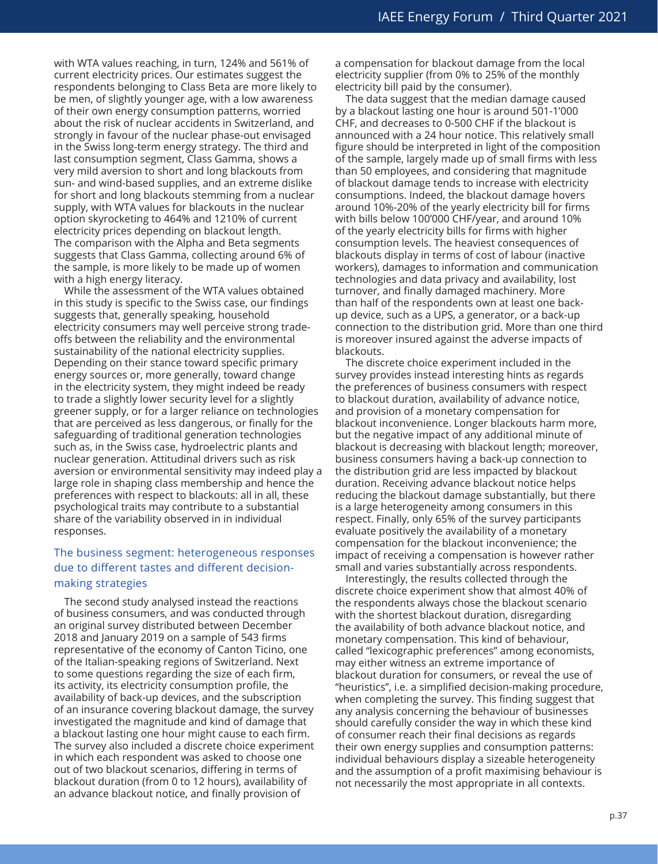with WTA values reaching, in turn, 124% and 561% of current electricity prices. Our estimates suggest the respondents belonging to Class Beta are more likely to be men, of slightly younger age, with a low awareness of their own energy consumption patterns, worried about the risk of nuclear accidents in Switzerland, and strongly in favour of the nuclear phase-out envisaged in the Swiss long-term energy strategy. The third and last consumption segment, Class Gamma, shows a very mild aversion to short and long blackouts from sun- and wind-based supplies, and an extreme dislike for short and long blackouts stemming from a nuclear supply, with WTA values for blackouts in the nuclear option skyrocketing to 464% and 1210% of current electricity prices depending on blackout length. The comparison with the Alpha and Beta segments suggests that Class Gamma, collecting around 6% of the sample, is more likely to be made up of women with a high energy literacy.

While the assessment of the WTA values obtained in this study is specific to the Swiss case, our findings suggests that, generally speaking, household electricity consumers may well perceive strong tradeoffs between the reliability and the environmental sustainability of the national electricity supplies. Depending on their stance toward specific primary energy sources or, more generally, toward change in the electricity system, they might indeed be ready to trade a slightly lower security level for a slightly greener supply, or for a larger reliance on technologies that are perceived as less dangerous, or finally for the safeguarding of traditional generation technologies such as, in the Swiss case, hydroelectric plants and nuclear generation. Attitudinal drivers such as risk aversion or environmental sensitivity may indeed play a large role in shaping class membership and hence the preferences with respect to blackouts: all in all, these psychological traits may contribute to a substantial share of the variability observed in in individual responses.

# The business segment: heterogeneous responses due to different tastes and different decisionmaking strategies

The second study analysed instead the reactions of business consumers, and was conducted through an original survey distributed between December 2018 and January 2019 on a sample of 543 firms representative of the economy of Canton Ticino, one of the Italian-speaking regions of Switzerland. Next to some questions regarding the size of each firm, its activity, its electricity consumption profile, the availability of back-up devices, and the subscription of an insurance covering blackout damage, the survey investigated the magnitude and kind of damage that a blackout lasting one hour might cause to each firm. The survey also included a discrete choice experiment in which each respondent was asked to choose one out of two blackout scenarios, differing in terms of blackout duration (from 0 to 12 hours), availability of an advance blackout notice, and finally provision of

a compensation for blackout damage from the local electricity supplier (from 0% to 25% of the monthly electricity bill paid by the consumer).

The data suggest that the median damage caused by a blackout lasting one hour is around 501-1'000 CHF, and decreases to 0-500 CHF if the blackout is announced with a 24 hour notice. This relatively small figure should be interpreted in light of the composition of the sample, largely made up of small firms with less than 50 employees, and considering that magnitude of blackout damage tends to increase with electricity consumptions. Indeed, the blackout damage hovers around 10%-20% of the yearly electricity bill for firms with bills below 100'000 CHF/year, and around 10% of the yearly electricity bills for firms with higher consumption levels. The heaviest consequences of blackouts display in terms of cost of labour (inactive workers), damages to information and communication technologies and data privacy and availability, lost turnover, and finally damaged machinery. More than half of the respondents own at least one backup device, such as a UPS, a generator, or a back-up connection to the distribution grid. More than one third is moreover insured against the adverse impacts of blackouts.

The discrete choice experiment included in the survey provides instead interesting hints as regards the preferences of business consumers with respect to blackout duration, availability of advance notice, and provision of a monetary compensation for blackout inconvenience. Longer blackouts harm more, but the negative impact of any additional minute of blackout is decreasing with blackout length; moreover, business consumers having a back-up connection to the distribution grid are less impacted by blackout duration. Receiving advance blackout notice helps reducing the blackout damage substantially, but there is a large heterogeneity among consumers in this respect. Finally, only 65% of the survey participants evaluate positively the availability of a monetary compensation for the blackout inconvenience; the impact of receiving a compensation is however rather small and varies substantially across respondents.

Interestingly, the results collected through the discrete choice experiment show that almost 40% of the respondents always chose the blackout scenario with the shortest blackout duration, disregarding the availability of both advance blackout notice, and monetary compensation. This kind of behaviour, called "lexicographic preferences" among economists, may either witness an extreme importance of blackout duration for consumers, or reveal the use of "heuristics", i.e. a simplified decision-making procedure, when completing the survey. This finding suggest that any analysis concerning the behaviour of businesses should carefully consider the way in which these kind of consumer reach their final decisions as regards their own energy supplies and consumption patterns: individual behaviours display a sizeable heterogeneity and the assumption of a profit maximising behaviour is not necessarily the most appropriate in all contexts.